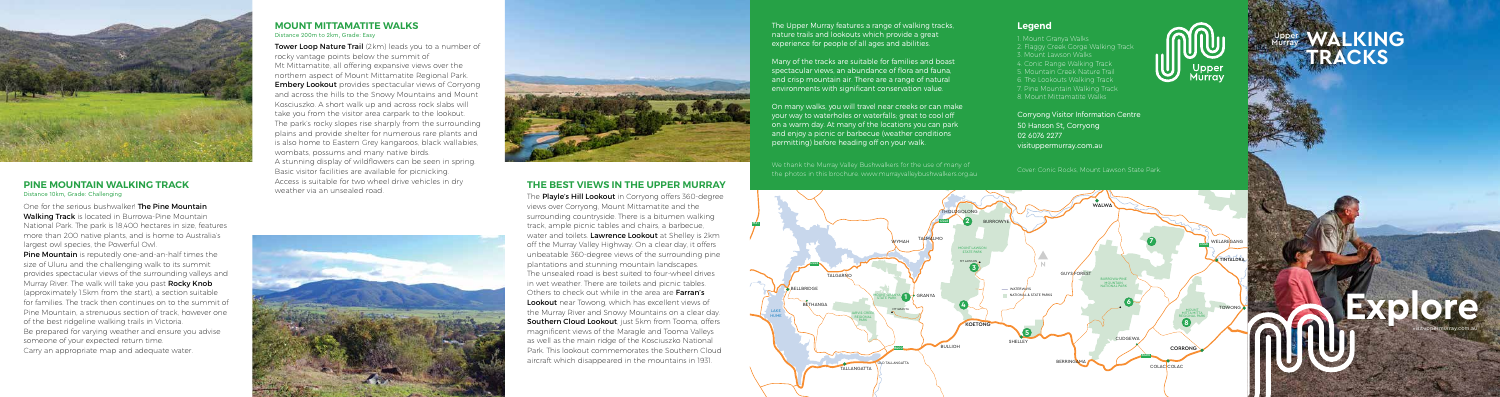# **THE BEST VIEWS IN THE UPPER MURRAY**

The **Playle's Hill Lookout** in Corryong offers 360-degree views over Corryong, Mount Mittamatite and the surrounding countryside. There is a bitumen walking track, ample picnic tables and chairs, a barbecue, water and toilets. Lawrence Lookout at Shelley is 2km off the Murray Valley Highway. On a clear day, it offers unbeatable 360-degree views of the surrounding pine plantations and stunning mountain landscapes. The unsealed road is best suited to four-wheel drives in wet weather. There are toilets and picnic tables. Others to check out while in the area are **Farran's** Lookout near Towong, which has excellent views of the Murray River and Snowy Mountains on a clear day. Southern Cloud Lookout, just 5km from Tooma, offers magnificent views of the Maragle and Tooma Valleys as well as the main ridge of the Kosciuszko National Park. This lookout commemorates the Southern Cloud aircraft which disappeared in the mountains in 1931.

Tower Loop Nature Trail (2km) leads you to a number of rocky vantage points below the summit of Mt Mittamatite, all offering expansive views over the northern aspect of Mount Mittamatite Regional Park. **Embery Lookout** provides spectacular views of Corryong and across the hills to the Snowy Mountains and Mount Kosciuszko. A short walk up and across rock slabs will take you from the visitor area carpark to the lookout. The park's rocky slopes rise sharply from the surrounding plains and provide shelter for numerous rare plants and is also home to Eastern Grey kangaroos, black wallabies, wombats, possums and many native birds. A stunning display of wildflowers can be seen in spring. Basic visitor facilities are available for picnicking. Access is suitable for two wheel drive vehicles in dry weather via an unsealed road.





# **WALKING TRACKS** Murray

One for the serious bushwalker! **The Pine Mountain** Walking Track is located in Burrowa-Pine Mountain National Park. The park is 18,400 hectares in size, features more than 200 native plants, and is home to Australia's largest owl species, the Powerful Owl.

**Pine Mountain** is reputedly one-and-an-half times the size of Uluru and the challenging walk to its summit provides spectacular views of the surrounding valleys and Murray River. The walk will take you past **Rocky Knob** (approximately 1.5km from the start), a section suitable for families. The track then continues on to the summit of Pine Mountain, a strenuous section of track, however one of the best ridgeline walking trails in Victoria. Be prepared for varying weather and ensure you advise someone of your expected return time. Carry an appropriate map and adequate water.

### **MOUNT MITTAMATITE WALKS**  Distance 200m to 2km, Grade: Easy

**Explore**

visituppermurray.com.au

We thank the Murray Valley Bushwalkers for the use of many of the photos in this brochure. www.murrayvalleybushwalkers.org.au Cover: Conic Rocks, Mount Lawson State Park.<br>the photos in this brochure. www.murrayvalleybushwalkers.org.au



## **PINE MOUNTAIN WALKING TRACK** Distance 10km, Grade: Challenging

NATIONAL PARK BOGANDERA NATURE



RESERVE





The Upper Murray features a range of walking tracks, nature trails and lookouts which provide a great experience for people of all ages and abilities.

Many of the tracks are suitable for families and boast spectacular views, an abundance of flora and fauna, and crisp mountain air. There are a range of natural environments with significant conservation value.

On many walks, you will travel near creeks or can make your way to waterholes or waterfalls; great to cool off on a warm day. At many of the locations you can park and enjoy a picnic or barbecue (weather conditions permitting) before heading off on your walk.

# **Legend**

1. Mount Granya Walks 2. Flaggy Creek Gorge Walking Track 3. Mount Lawson Walks 4. Conic Range Walking Track 5. Mountain Creek Nature Trail 6. The Lookouts Walking Track 7. Pine Mountain Walking Track 8. Mount Mittamatite Walks

Corryong Visitor Information Centre 50 Hanson St, Corryong 02 6076 2277 visituppermurray.com.au